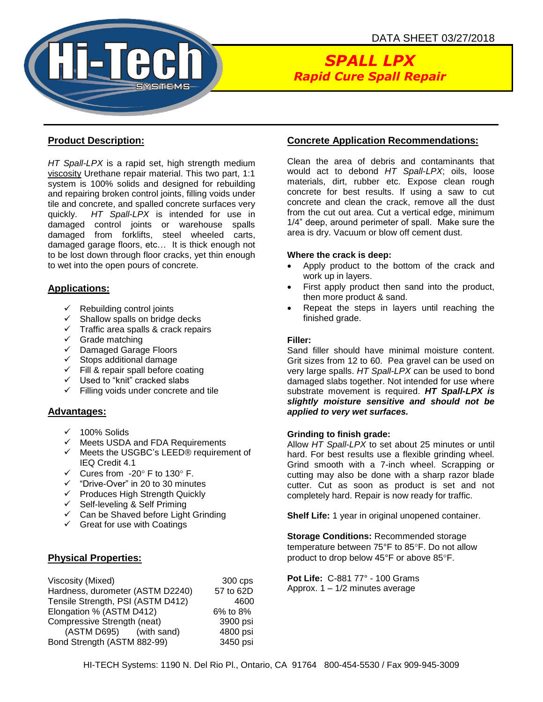

# *SPALL LPX Rapid Cure Spall Repair*

#### **Product Description:**

*HT Spall-LPX* is a rapid set, high strength medium viscosity Urethane repair material. This two part, 1:1 system is 100% solids and designed for rebuilding and repairing broken control joints, filling voids under tile and concrete, and spalled concrete surfaces very quickly. *HT Spall-LPX* is intended for use in damaged control joints or warehouse spalls damaged from forklifts, steel wheeled carts, damaged garage floors, etc… It is thick enough not to be lost down through floor cracks, yet thin enough to wet into the open pours of concrete.

#### **Applications:**

- $\checkmark$  Rebuilding control joints
- $\checkmark$  Shallow spalls on bridge decks
- $\checkmark$  Traffic area spalls & crack repairs
- $\checkmark$  Grade matching
- ✓ Damaged Garage Floors
- ✓ Stops additional damage
- $\checkmark$  Fill & repair spall before coating
- ✓ Used to "knit" cracked slabs
- $\checkmark$  Filling voids under concrete and tile

#### **Advantages:**

- $\checkmark$  100% Solids
- ✓ Meets USDA and FDA Requirements
- ✓ Meets the USGBC's LEED® requirement of IEQ Credit 4.1
- $\checkmark$  Cures from -20 $\degree$  F to 130 $\degree$  F.
- ✓ "Drive-Over" in 20 to 30 minutes
- ✓ Produces High Strength Quickly
- ✓ Self-leveling & Self Priming
- $\checkmark$  Can be Shaved before Light Grinding
- $\checkmark$  Great for use with Coatings

## **Physical Properties:**

| Viscosity (Mixed)                 | 300 cps   |
|-----------------------------------|-----------|
| Hardness, durometer (ASTM D2240)  | 57 to 62D |
| Tensile Strength, PSI (ASTM D412) | 4600      |
| Elongation % (ASTM D412)          | 6% to 8%  |
| Compressive Strength (neat)       | 3900 psi  |
| (ASTM D695) (with sand)           | 4800 psi  |
| Bond Strength (ASTM 882-99)       | 3450 psi  |
|                                   |           |

# **Concrete Application Recommendations:**

Clean the area of debris and contaminants that would act to debond *HT Spall-LPX*; oils, loose materials, dirt, rubber etc. Expose clean rough concrete for best results. If using a saw to cut concrete and clean the crack, remove all the dust from the cut out area. Cut a vertical edge, minimum 1/4" deep, around perimeter of spall. Make sure the area is dry. Vacuum or blow off cement dust.

#### **Where the crack is deep:**

- Apply product to the bottom of the crack and work up in layers.
- First apply product then sand into the product, then more product & sand.
- Repeat the steps in layers until reaching the finished grade.

#### **Filler:**

Sand filler should have minimal moisture content. Grit sizes from 12 to 60. Pea gravel can be used on very large spalls. *HT Spall-LPX* can be used to bond damaged slabs together. Not intended for use where substrate movement is required. *HT Spall-LPX is slightly moisture sensitive and should not be applied to very wet surfaces.*

#### **Grinding to finish grade:**

Allow *HT Spall-LPX* to set about 25 minutes or until hard. For best results use a flexible grinding wheel. Grind smooth with a 7-inch wheel. Scrapping or cutting may also be done with a sharp razor blade cutter. Cut as soon as product is set and not completely hard. Repair is now ready for traffic.

**Shelf Life:** 1 year in original unopened container.

**Storage Conditions:** Recommended storage temperature between 75°F to 85°F. Do not allow product to drop below 45°F or above 85°F.

**Pot Life:** C-881 77° - 100 Grams Approx. 1 – 1/2 minutes average